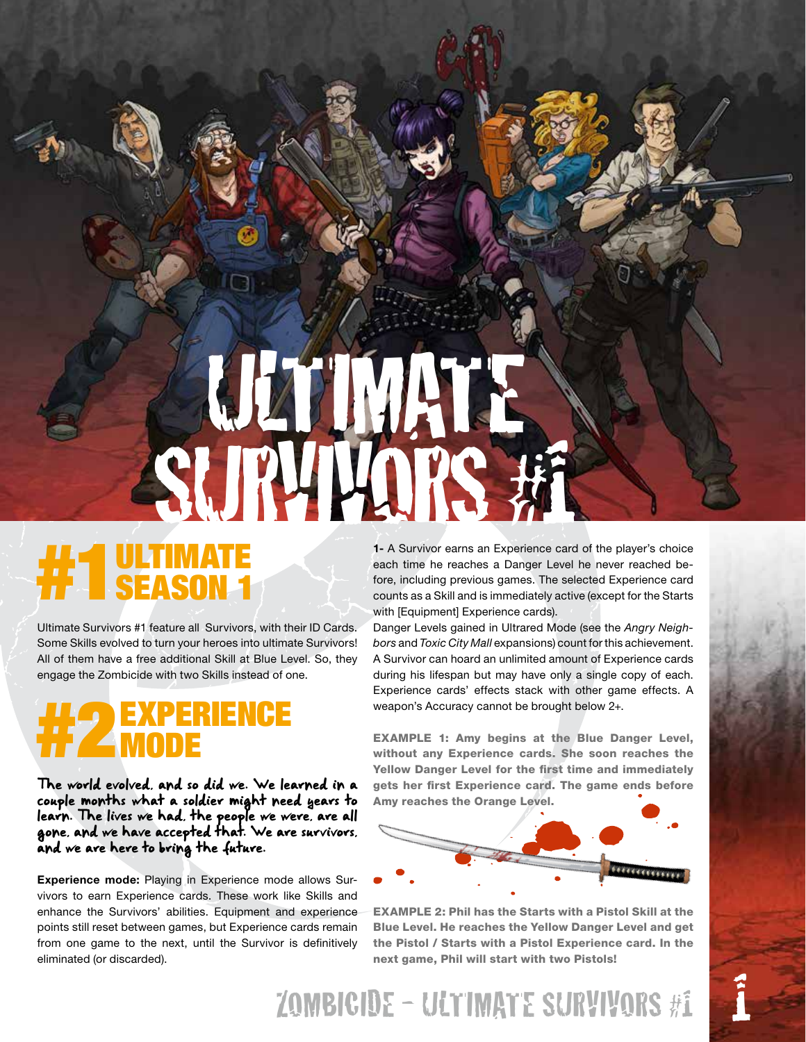## ULTIMAT AUR IV

## **#1 JUTIMATE**

Ultimate Survivors #1 feature all Survivors, with their ID Cards. Some Skills evolved to turn your heroes into ultimate Survivors! All of them have a free additional Skill at Blue Level. So, they engage the Zombicide with two Skills instead of one.

## #2EXPERIENCE MODE

The world evolved, and so did we. We learned in a couple months what a soldier might need years to learn. The lives we had, the people we were, are all gone, and we have accepted that. We are survivors, and we are here to bring the future.

Experience mode: Playing in Experience mode allows Survivors to earn Experience cards. These work like Skills and enhance the Survivors' abilities. Equipment and experience points still reset between games, but Experience cards remain from one game to the next, until the Survivor is definitively eliminated (or discarded).

1- A Survivor earns an Experience card of the player's choice each time he reaches a Danger Level he never reached before, including previous games. The selected Experience card counts as a Skill and is immediately active (except for the Starts with [Equipment] Experience cards).

Danger Levels gained in Ultrared Mode (see the *Angry Neighbors* and *Toxic City Mall* expansions) count for this achievement. A Survivor can hoard an unlimited amount of Experience cards during his lifespan but may have only a single copy of each. Experience cards' effects stack with other game effects. A weapon's Accuracy cannot be brought below 2+.

EXAMPLE 1: Amy begins at the Blue Danger Level, without any Experience cards. She soon reaches the Yellow Danger Level for the first time and immediately gets her first Experience card. The game ends before Amy reaches the Orange Level.



EXAMPLE 2: Phil has the Starts with a Pistol Skill at the Blue Level. He reaches the Yellow Danger Level and get the Pistol / Starts with a Pistol Experience card. In the next game, Phil will start with two Pistols!

ZOMBICIDE - ULTIMATE SURVIVORS #1